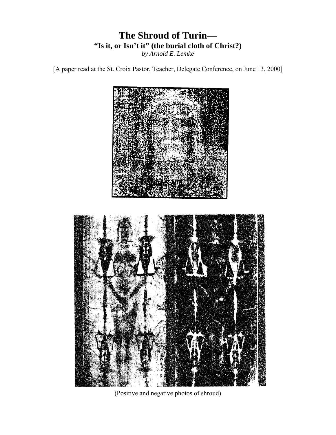# **The Shroud of Turin— "Is it, or Isn't it" (the burial cloth of Christ?)**

*by Arnold E. Lemke* 

[A paper read at the St. Croix Pastor, Teacher, Delegate Conference, on June 13, 2000]



(Positive and negative photos of shroud)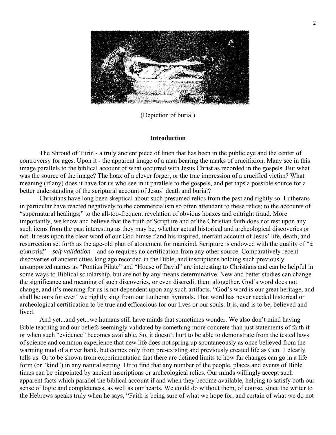

(Depiction of burial)

#### **Introduction**

The Shroud of Turin - a truly ancient piece of linen that has been in the public eye and the center of controversy for ages. Upon it - the apparent image of a man bearing the marks of crucifixion. Many see in this image parallels to the biblical account of what occurred with Jesus Christ as recorded in the gospels. But what was the source of the image? The hoax of a clever forger, or the true impression of a crucified victim? What meaning (if any) does it have for us who see in it parallels to the gospels, and perhaps a possible source for a better understanding of the scriptural account of Jesus' death and burial?

Christians have long been skeptical about such presumed relics from the past and rightly so. Lutherans in particular have reacted negatively to the commercialism so often attendant to these relics; to the accounts of "supernatural healings;" to the all-too-frequent revelation of obvious hoaxes and outright fraud. More importantly, we know and believe that the truth of Scripture and of the Christian faith does not rest upon any such items from the past interesting as they may be, whether actual historical and archeological discoveries or not. It rests upon the clear word of our God himself and his inspired, inerrant account of Jesus' life, death, and resurrection set forth as the age-old plan of atonement for mankind. Scripture is endowed with the quality of "ἀ αὑπιστία"—*self-validation*—and so requires no certification from any other source. Comparatively recent discoveries of ancient cities long ago recorded in the Bible, and inscriptions holding such previously unsupported names as "Pontius Pilate" and "House of David" are interesting to Christians and can be helpful in some ways to Biblical scholarship, but are not by any means determinative. New and better studies can change the significance and meaning of such discoveries, or even discredit them altogether. God's word does not change, and it's meaning for us is not dependent upon any such artifacts. "God's word is our great heritage, and shall be ours for ever" we rightly sing from our Lutheran hymnals. That word has never needed historical or archeological certification to be true and efficacious for our lives or our souls. It is, and is to be, believed and **lived** 

And yet...and yet...we humans still have minds that sometimes wonder. We also don't mind having Bible teaching and our beliefs seemingly validated by something more concrete than just statements of faith if or when such "evidence" becomes available. So, it doesn't hurt to be able to demonstrate from the tested laws of science and common experience that new life does not spring up spontaneously as once believed from the warming mud of a river bank, but comes only from pre-existing and previously created life as Gen. 1 clearly tells us. Or to be shown from experimentation that there are defined limits to how far changes can go in a life form (or "kind") in any natural setting. Or to find that any number of the people, places and events of Bible times can be pinpointed by ancient inscriptions or archeological relics. Our minds willingly accept such apparent facts which parallel the biblical account if and when they become available, helping to satisfy both our sense of logic and completeness, as well as our hearts. We could do without them, of course, since the writer to the Hebrews speaks truly when he says, "Faith is being sure of what we hope for, and certain of what we do not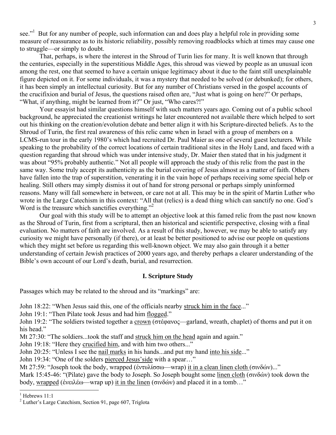see."<sup>1</sup> But for any number of people, such information can and does play a helpful role in providing some measure of reassurance as to its historic reliability, possibly removing roadblocks which at times may cause one to struggle—or simply to doubt.

That, perhaps, is where the interest in the Shroud of Turin lies for many. It is well known that through the centuries, especially in the superstitious Middle Ages, this shroud was viewed by people as an unusual icon among the rest, one that seemed to have a certain unique legitimacy about it due to the faint still unexplainable figure depicted on it. For some individuals, it was a mystery that needed to be solved (or debunked); for others, it has been simply an intellectual curiosity. But for any number of Christians versed in the gospel accounts of the crucifixion and burial of Jesus, the questions raised often are, "Just what is going on here?" Or perhaps, "What, if anything, might be learned from it?" Or just, "Who cares?!"

Your essayist had similar questions himself with such matters years ago. Coming out of a public school background, he appreciated the creationist writings he later encountered not available there which helped to sort out his thinking on the creation/evolution debate and better align it with his Scripture-directed beliefs. As to the Shroud of Turin, the first real awareness of this relic came when in Israel with a group of members on a LCMS-run tour in the early 1980's which had recruited Dr. Paul Maier as one of several guest lecturers. While speaking to the probability of the correct locations of certain traditional sites in the Holy Land, and faced with a question regarding that shroud which was under intensive study, Dr. Maier then stated that in his judgment it was about "95% probably authentic." Not all people will approach the study of this relic from the past in the same way. Some truly accept its authenticity as the burial covering of Jesus almost as a matter of faith. Others have fallen into the trap of superstition, venerating it in the vain hope of perhaps receiving some special help or healing. Still others may simply dismiss it out of hand for strong personal or perhaps simply uninformed reasons. Many will fall somewhere in between, or care not at all. This may be in the spirit of Martin Luther who wrote in the Large Catechism in this context: "All that (relics) is a dead thing which can sanctify no one. God's Word is the treasure which sanctifies everything."<sup>2</sup>

 Our goal with this study will be to attempt an objective look at this famed relic from the past now known as the Shroud of Turin, first from a scriptural, then an historical and scientific perspective, closing with a final evaluation. No matters of faith are involved. As a result of this study, however, we may be able to satisfy any curiosity we might have personally (if there), or at least be better positioned to advise our people on questions which they might set before us regarding this well-known object. We may also gain through it a better understanding of certain Jewish practices of 2000 years ago, and thereby perhaps a clearer understanding of the Bible's own account of our Lord's death, burial, and resurrection.

#### **I. Scripture Study**

Passages which may be related to the shroud and its "markings" are:

John 18:22: "When Jesus said this, one of the officials nearby struck him in the face..."

John 19:1: "Then Pilate took Jesus and had him flogged."

John 19:2: "The soldiers twisted together a crown (στέφανος—garland, wreath, chaplet) of thorns and put it on his head."

Mt 27:30: "The soldiers...took the staff and struck him on the head again and again."

John 19:18: "Here they crucified him, and with him two others..."

John 20:25: "Unless I see the nail marks in his hands...and put my hand into his side..."

John 19:34: "One of the solders pierced Jesus'side with a spear…"

Mt 27:59: "Joseph took the body, wrapped (ἐντυλίσσω—wrap) it in a clean linen cloth (σινδών)..."

Mark 15:45-46: "(Pilate) gave the body to Joseph. So Joseph bought some linen cloth (σινδών) took down the body, wrapped (ἐνειλέω—wrap up) it in the linen (σινδών) and placed it in a tomb…"

 $<sup>1</sup>$  Hebrews 11:1</sup>

<sup>&</sup>lt;sup>2</sup> Luther's Large Catechism, Section 91, page 607, Triglota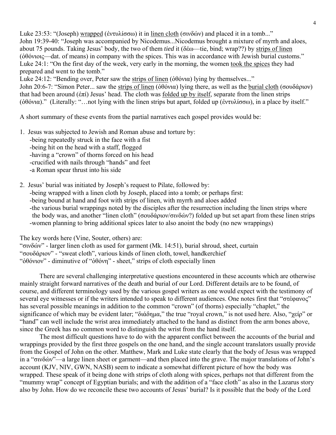Luke 23:53: "(Joseph) wrapped (ἐντυλίσσω) it in linen cloth (σινδών) and placed it in a tomb..." John 19:39-40: "Joseph was accompanied by Nicodemus...Nicodemus brought a mixture of myrrh and aloes, about 75 pounds. Taking Jesus' body, the two of them *tied* it (δέω—tie, bind; wrap??) by strips of linen (ὀθόνιοις—dat. of means) in company with the spices. This was in accordance with Jewish burial customs." Luke 24:1: "On the first day of the week, very early in the morning, the women took the spices they had prepared and went to the tomb."

Luke 24:12: "Bending over, Peter saw the strips of linen ( $\delta\theta$ όνια) lying by themselves..."

John 20:6-7: "Simon Peter... saw the strips of linen (ὀθόνια) lying there, as well as the burial cloth (σουδάριον) that had been around (ἐπί) Jesus' head. The cloth was folded up by itself, separate from the linen strips (ὀθόνια)." (Literally: "…not lying with the linen strips but apart, folded up (ἐντυλίσσω), in a place by itself."

A short summary of these events from the partial narratives each gospel provides would be:

- 1. Jesus was subjected to Jewish and Roman abuse and torture by: -being repeatedly struck in the face with a fist -being hit on the head with a staff, flogged -having a "crown" of thorns forced on his head -crucified with nails through "hands" and feet -a Roman spear thrust into his side
- 2. Jesus' burial was initiated by Joseph's request to Pilate, followed by: -being wrapped with a linen cloth by Joseph, placed into a tomb; or perhaps first: -being bound at hand and foot with strips of linen, with myrrh and aloes added -the various burial wrappings noted by the disciples after the resurrection including the linen strips where the body was, and another "linen cloth" (σουδάριον/σινδών?) folded up but set apart from these linen strips -women planning to bring additional spices later to also anoint the body (no new wrappings)

The key words here (Vine, Souter, others) are:

"σινδών" - larger linen cloth as used for garment (Mk. 14:51), burial shroud, sheet, curtain "σουδάριον" - "sweat cloth", various kinds of linen cloth, towel, handkerchief "ὀθόνιον" - diminutive of "ὀθόνη" - sheet," strips of cloth especially linen

There are several challenging interpretative questions encountered in these accounts which are otherwise mainly straight forward narratives of the death and burial of our Lord. Different details are to be found, of course, and different terminology used by the various gospel writers as one would expect with the testimony of several eye witnesses or if the writers intended to speak to different audiences. One notes first that "στέφανος" has several possible meanings in addition to the common "crown" (of thorns) especially "chaplet," the significance of which may be evident later; "διάδημα," the true "royal crown," is not used here. Also, "χείρ" or "hand" can well include the wrist area immediately attached to the hand as distinct from the arm bones above, since the Greek has no common word to distinguish the wrist from the hand itself.

The most difficult questions have to do with the apparent conflict between the accounts of the burial and wrappings provided by the first three gospels on the one hand, and the single account translators usually provide from the Gospel of John on the other. Matthew, Mark and Luke state clearly that the body of Jesus was wrapped in a "σινδών"—a large linen sheet or garment—and then placed into the grave. The major translations of John's account (KJV, NIV, GWN, NASB) seem to indicate a somewhat different picture of how the body was wrapped. These speak of it being done with strips of cloth along with spices, perhaps not that different from the "mummy wrap" concept of Egyptian burials; and with the addition of a "face cloth" as also in the Lazarus story also by John. How do we reconcile these two accounts of Jesus' burial? Is it possible that the body of the Lord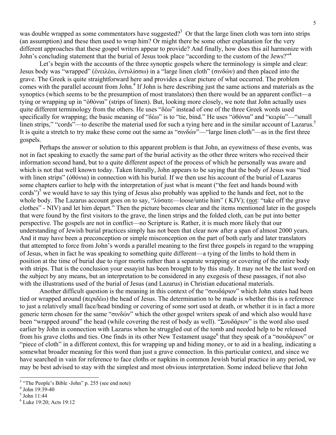was double wrapped as some commentators have suggested?<sup>3</sup> Or that the large linen cloth was torn into strips (an assumption) and these then used to wrap him? Or might there be some other explanation for the very different approaches that these gospel writers appear to provide? And finally, how does this ail harmonize with John's concluding statement that the burial of Jesus took place "according to the custom of the Jews?"4

Let's begin with the accounts of the three synoptic gospels where the terminology is simple and clear: Jesus body was "wrapped" (ἐνειλέω, ἐντυλίσσω) in a "large linen cloth" (σινδών) and then placed into the grave. The Greek is quite straightforward here and provides a clear picture of what occurred. The problem comes with the parallel account from John.<sup>4</sup> If John is here describing just the same actions and materials as the synoptics (which seems to be the presumption of most translators) then there would be an apparent conflict—a tying or wrapping up in "ὀθόνια" (strips of linen). But, looking more closely, we note that John actually uses quite different terminology from the others. He uses "δέω" instead of one of the three Greek words used specifically for wrapping; the basic meaning of "δέω" is to "tie, bind." He uses "ὀθόνια" and "κειρία"—"small linen strips," "cords"—to describe the material used for such a tying here and in the similar account of Lazarus.<sup>5</sup> It is quite a stretch to try make these come out the same as "σινδών"—"large linen cloth"—as in the first three gospels.

Perhaps the answer or solution to this apparent problem is that John, an eyewitness of these events, was not in fact speaking to exactly the same part of the burial activity as the other three writers who received their information second hand, but to a quite different aspect of the process of which he personally was aware and which is not that well known today. Taken literally, John appears to be saying that the body of Jesus was "tied with linen strips" (ὀθόνια) in connection with his burial. If we then use his account of the burial of Lazarus some chapters earlier to help with the interpretation of just what is meant ("the feet and hands bound with cords")<sup>5</sup> we would have to say this tying of Jesus also probably was applied to the hands and feet, not to the whole body. The Lazarus account goes on to say, "λύσατε—loose/untie him" (KJV); (not: "take off the grave clothes" - NIV) and let him depart." Then the picture becomes clear and the items mentioned later in the gospels that were found by the first visitors to the grave, the linen strips and the folded cloth, can be put into better perspective. The gospels are not in conflict—no Scripture is. Rather, it is much more likely that our understanding of Jewish burial practices simply has not been that clear now after a span of almost 2000 years. And it may have been a preconception or simple misconception on the part of both early and later translators that attempted to force from John's words a parallel meaning to the first three gospels in regard to the wrapping of Jesus, when in fact he was speaking to something quite different—a tying of the limbs to hold them in position at the time of burial due to rigor mortis rather than a separate wrapping or covering of the entire body with strips. That is the conclusion your essayist has been brought to by this study. It may not be the last word on the subject by any means, but an interpretation to be considered in any exegesis of these passages, if not also with the illustrations used of the burial of Jesus (and Lazarus) in Christian educational materials.

Another difficult question is the meaning in this context of the "σουδάριον" which John states had been tied or wrapped around (περιδέω) the head of Jesus. The determination to be made is whether this is a reference to just a relatively small face/head binding or covering of some sort used at death, or whether it is in fact a more generic term chosen for the same "σινδών" which the other gospel writers speak of and which also would have been "wrapped around" the head (while covering the rest of body as well). "Σουδάριον" is the word also used earlier by John in connection with Lazarus when he struggled out of the tomb and needed help to be released from his grave cloths and ties. One finds in its other New Testament usage<sup>6</sup> that they speak of a "σουδάριον" or "piece of cloth" in a different context, this for wrapping up and hiding money, or to aid in a healing, indicating a somewhat broader meaning for this word than just a grave connection. In this particular context, and since we have searched in vain for reference to face cloths or napkins in common Jewish burial practice in any period, we may be best advised to stay with the simplest and most obvious interpretation. Some indeed believe that John

<sup>&</sup>lt;sup>3</sup> "The People's Bible -John" p. 255 (see end note)

 $4$  John 19:39-40

<sup>5</sup> John 11:44

<sup>&</sup>lt;sup>6</sup> Luke 19:20; Acts 19:12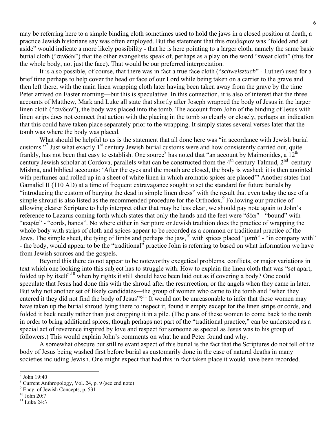may be referring here to a simple binding cloth sometimes used to hold the jaws in a closed position at death, a practice Jewish historians say was often employed. But the statement that this σουδάριον was "folded and set aside" would indicate a more likely possibility - that he is here pointing to a larger cloth, namely the same basic burial cloth ("σινδών") that the other evangelists speak of, perhaps as a play on the word "sweat cloth" (this for the whole body, not just the face). That would be our preferred interpretation.

It is also possible, of course, that there was in fact a true face cloth ("*schweisztuch*" - Luther) used for a brief time perhaps to help cover the head or face of our Lord while being taken on a carrier to the grave and then left there, with the main linen wrapping cloth later having been taken away from the grave by the time Peter arrived on Easter morning—but this is speculative. In this connection, it is also of interest that the three accounts of Matthew, Mark and Luke all state that shortly after Joseph wrapped the body of Jesus in the larger linen cloth ("σινδών"), the body was placed into the tomb. The account from John of the binding of Jesus with linen strips does not connect that action with the placing in the tomb so clearly or closely, perhaps an indication that this could have taken place separately prior to the wrapping. It simply states several verses later that the tomb was where the body was placed.

What should be helpful to us is the statement that all done here was "in accordance with Jewish burial customs."<sup>7</sup> Just what exactly 1<sup>st</sup> century Jewish burial customs were and how consistently carried out, quite frankly, has not been that easy to establish. One source<sup>8</sup> has noted that "an account by Maimonides, a  $12<sup>th</sup>$ century Jewish scholar at Cordova, parallels what can be constructed from the  $4<sup>th</sup>$  century Talmud,  $2<sup>nd</sup>$  century Mishna, and biblical accounts: 'After the eyes and the mouth are closed, the body is washed; it is then anointed with perfumes and rolled up in a sheet of white linen in which aromatic spices are placed'" Another states that Gamaliel II (110 AD) at a time of frequent extravagance sought to set the standard for future burials by "introducing the custom of burying the dead in simple linen dress" with the result that even today the use of a simple shroud is also listed as the recommended procedure for the Orthodox.<sup>9</sup> Following our practice of allowing clearer Scripture to help interpret other that may be less clear, we should pay note again to John's reference to Lazarus coming forth which states that only the hands and the feet were "δέω" - "bound" with "κειρία" - "cords, bands". No where either in Scripture or Jewish tradition does the practice of wrapping the whole body with strips of cloth and spices appear to be recorded as a common or traditional practice of the Jews. The simple sheet, the tying of limbs and perhaps the jaw,<sup>10</sup> with spices placed "μετά" - "in company with" - the body, would appear to be the "traditional" practice John is referring to based on what information we have from Jewish sources and the gospels.

Beyond this there do not appear to be noteworthy exegetical problems, conflicts, or major variations in text which one looking into this subject has to struggle with. How to explain the linen cloth that was "set apart, folded up by itself"10 when by rights it still should have been laid out as if covering a body? One could speculate that Jesus had done this with the shroud after the resurrection, or the angels when they came in later. But why not another set of likely candidates—the group of women who came to the tomb and "when they entered it they did not find the body of Jesus"?<sup>11</sup> It would not be unreasonable to infer that these women may have taken up the burial shroud lying there to inspect it, found it empty except for the linen strips or cords, and folded it back neatly rather than just dropping it in a pile. (The plans of these women to come back to the tomb in order to bring additional spices, though perhaps not part of the "traditional practice," can be understood as a special act of reverence inspired by love and respect for someone as special as Jesus was to his group of followers.) This would explain John's comments on what he and Peter found and why.

A somewhat obscure but still relevant aspect of this burial is the fact that the Scriptures do not tell of the body of Jesus being washed first before burial as customarily done in the case of natural deaths in many societies including Jewish. One might expect that had this in fact taken place it would have been recorded.

<sup>7</sup> John 19:40

<sup>8</sup> Current Anthropology, Vol. 24, p. 9 (see end note)

<sup>&</sup>lt;sup>9</sup> Ency. of Jewish Concepts, p. 531

 $10$  John 20:7

 $11$  Luke 24:3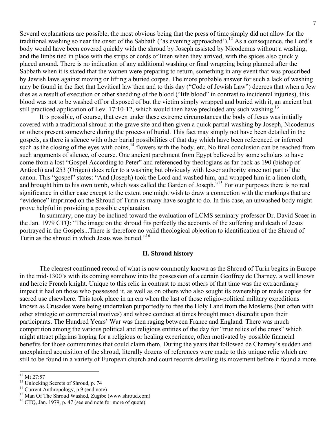Several explanations are possible, the most obvious being that the press of time simply did not allow for the traditional washing so near the onset of the Sabbath ("as evening approached").<sup>12</sup> As a consequence, the Lord's body would have been covered quickly with the shroud by Joseph assisted by Nicodemus without a washing, and the limbs tied in place with the strips or cords of linen when they arrived, with the spices also quickly placed around. There is no indication of any additional washing or final wrapping being planned after the Sabbath when it is stated that the women were preparing to return, something in any event that was proscribed by Jewish laws against moving or lifting a buried corpse. The more probable answer for such a lack of washing may be found in the fact that Levitical law then and to this day ("Code of Jewish Law") decrees that when a Jew dies as a result of execution or other shedding of the blood ("life blood" in contrast to incidental injuries), this blood was not to be washed off or disposed of but the victim simply wrapped and buried with it, an ancient but still practiced application of Lev. 17:10-12, which would then have precluded any such washing.<sup>13</sup>

It is possible, of course, that even under these extreme circumstances the body of Jesus was initially covered with a traditional shroud at the grave site and then given a quick partial washing by Joseph, Nicodemus or others present somewhere during the process of burial. This fact may simply not have been detailed in the gospels, as there is silence with other burial possibilities of that day which have been referenced or inferred such as the closing of the eyes with coins,<sup>14</sup> flowers with the body, etc. No final conclusion can be reached from such arguments of silence, of course. One ancient parchment from Egypt believed by some scholars to have come from a lost "Gospel According to Peter" and referenced by theologians as far back as 190 (bishop of Antioch) and 253 (Origen) does refer to a washing but obviously with lesser authority since not part of the canon. This "gospel" states: "And (Joseph) took the Lord and washed him, and wrapped him in a linen cloth, and brought him to his own tomb, which was called the Garden of Joseph."15 For our purposes there is no real significance in either case except to the extent one might wish to draw a connection with the markings that are "evidence" imprinted on the Shroud of Turin as many have sought to do. In this case, an unwashed body might prove helpful in providing a possible explanation.

In summary, one may be inclined toward the evaluation of LCMS seminary professor Dr. David Scaer in the Jan. 1979 CTQ: "The image on the shroud fits perfectly the accounts of the suffering and death of Jesus portrayed in the Gospels...There is therefore no valid theological objection to identification of the Shroud of Turin as the shroud in which Jesus was buried."<sup>16</sup>

#### **II. Shroud history**

The clearest confirmed record of what is now commonly known as the Shroud of Turin begins in Europe in the mid-1300's with its coming somehow into the possession of a certain Geoffrey de Charney, a well known and heroic French knight. Unique to this relic in contrast to most others of that time was the extraordinary impact it had on those who possessed it, as well as on others who also sought its ownership or made copies for sacred use elsewhere. This took place in an era when the last of those religio-political military expeditions known as Crusades were being undertaken purportedly to free the Holy Land from the Moslems (but often with other strategic or commercial motives) and whose conduct at times brought much discredit upon their participants. The Hundred Years' War was then raging between France and England. There was much competition among the various political and religious entities of the day for "true relics of the cross" which might attract pilgrims hoping for a religious or healing experience, often motivated by possible financial benefits for those communities that could claim them. During the years that followed de Charney's sudden and unexplained acquisition of the shroud, literally dozens of references were made to this unique relic which are still to be found in a variety of European church and court records detailing its movement before it found a more

 $12$  Mt 27:57

<sup>&</sup>lt;sup>13</sup> Unlocking Secrets of Shroud, p. 74

<sup>&</sup>lt;sup>14</sup> Current Anthropology, p.9 (end note)

<sup>&</sup>lt;sup>15</sup> Man Of The Shroud Washed, Zugibe (www.shroud.com)

 $16$  CTQ, Jan. 1979, p. 47 (see end note for more of quote)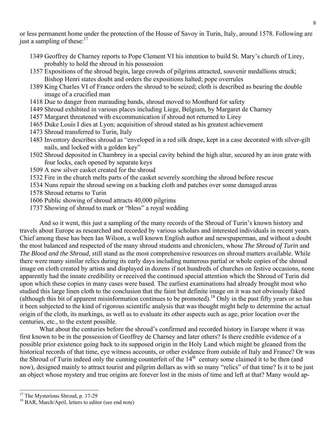or less permanent home under the protection of the House of Savoy in Turin, Italy, around 1578. Following are just a sampling of these: $17$ 

- 1349 Geoffrey de Charney reports to Pope Clement VI his intention to build St. Mary's church of Lirey, probably to hold the shroud in his possession
- 1357 Expositions of the shroud begin, large crowds of pilgrims attracted, souvenir medallions struck; Bishop Henri states doubt and orders the expositions halted; pope overrules
- 1389 King Charles VI of France orders the shroud to be seized; cloth is described as bearing the double image of a crucified man
- 1418 Due to danger from marauding bands, shroud moved to Montbard for safety
- 1449 Shroud exhibited in various places including Liege, Belgium, by Margaret de Charney
- 1457 Margaret threatened with excommunication if shroud not returned to Lirey
- 1465 Duke Louis I dies at Lyon; acquisition of shroud stated as his greatest achievement
- 1473 Shroud transferred to Turin, Italy
- 1483 Inventory describes shroud as "enveloped in a red silk drape, kept in a case decorated with silver-gilt nails, and locked with a golden key"
- 1502 Shroud deposited in Chambrey in a special cavity behind the high altar, secured by an iron grate with four locks, each opened by separate keys
- 1509 A new silver casket created for the shroud
- 1532 Fire in the church melts parts of the casket severely scorching the shroud before rescue
- 1534 Nuns repair the shroud sewing on a backing cloth and patches over some damaged areas
- 1578 Shroud returns to Turin
- 1606 Public showing of shroud attracts 40,000 pilgrims
- 1737 Showing of shroud to mark or "bless" a royal wedding

And so it went, this just a sampling of the many records of the Shroud of Turin's known history and travels about Europe as researched and recorded by various scholars and interested individuals in recent years. Chief among these has been Ian Wilson, a well known English author and newspaperman, and without a doubt the most balanced and respected of the many shroud students and chroniclers, whose *The Shroud of Turin* and *The Blood and the Shroud*, still stand as the most comprehensive resources on shroud matters available. While there were many similar relics during its early days including numerous partial or whole copies of the shroud image on cloth created by artists and displayed in dozens if not hundreds of churches on festive occasions, none apparently had the innate credibility or received the continued special attention which the Shroud of Turin did upon which these copies in many cases were based. The earliest examinations had already brought most who studied this large linen cloth to the conclusion that the faint but definite image on it was not obviously faked (although this bit of apparent misinformation continues to be promoted).<sup>18</sup> Only in the past fifty years or so has it been subjected to the kind of rigorous scientific analysis that was thought might help to determine the actual origin of the cloth, its markings, as well as to evaluate its other aspects such as age, prior location over the centuries, etc., to the extent possible.

What about the centuries before the shroud's confirmed and recorded history in Europe where it was first known to be in the possession of Geoffrey de Charney and later others? Is there credible evidence of a possible prior existence going back to its supposed origin in the Holy Land which might be gleaned from the historical records of that time, eye witness accounts, or other evidence from outside of Italy and France? Or was the Shroud of Turin indeed only the cunning counterfeit of the 14<sup>th</sup> century some claimed it to be then (and now), designed mainly to attract tourist and pilgrim dollars as with so many "relics" of that time? Is it to be just an object whose mystery and true origins are forever lost in the mists of time and left at that? Many would ap-

<sup>&</sup>lt;sup>17</sup> The Mysterious Shroud, p. 17-29

<sup>&</sup>lt;sup>18</sup> BAR, March/April, letters to editor (see end note)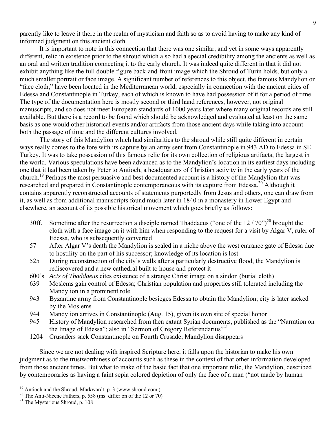parently like to leave it there in the realm of mysticism and faith so as to avoid having to make any kind of informed judgment on this ancient cloth.

It is important to note in this connection that there was one similar, and yet in some ways apparently different, relic in existence prior to the shroud which also had a special credibility among the ancients as well as an oral and written tradition connecting it to the early church. It was indeed quite different in that it did not exhibit anything like the full double figure back-and-front image which the Shroud of Turin holds, but only a much smaller portrait or face image. A significant number of references to this object, the famous Mandylion or "face cloth," have been located in the Mediterranean world, especially in connection with the ancient cities of Edessa and Constantinople in Turkey, each of which is known to have had possession of it for a period of time. The type of the documentation here is mostly second or third hand references, however, not original manuscripts, and so does not meet European standards of 1000 years later where many original records are still available. But there is a record to be found which should be acknowledged and evaluated at least on the same basis as one would other historical events and/or artifacts from those ancient days while taking into account both the passage of time and the different cultures involved.

The story of this Mandylion which had similarities to the shroud while still quite different in certain ways really comes to the fore with its capture by an army sent from Constantinople in 943 AD to Edessa in SE Turkey. It was to take possession of this famous relic for its own collection of religious artifacts, the largest in the world. Various speculations have been advanced as to the Mandylion's location in its earliest days including one that it had been taken by Peter to Antioch, a headquarters of Christian activity in the early years of the church.19 Perhaps the most persuasive and best documented account is a history of the Mandylion that was researched and prepared in Constantinople contemporaneous with its capture from Edessa.<sup>20</sup> Although it contains apparently reconstructed accounts of statements purportedly from Jesus and others, one can draw from it, as well as from additional manuscripts found much later in 1840 in a monastery in Lower Egypt and elsewhere, an account of its possible historical movement which goes briefly as follows:

- 30ff. Sometime after the resurrection a disciple named Thaddaeus ("one of the  $12/70$ ")<sup>20</sup> brought the cloth with a face image on it with him when responding to the request for a visit by Algar V, ruler of Edessa, who is subsequently converted
- 57 After Algar V's death the Mandylion is sealed in a niche above the west entrance gate of Edessa due to hostility on the part of his successor; knowledge of its location is lost
- 525 During reconstruction of the city's walls after a particularly destructive flood, the Mandylion is rediscovered and a new cathedral built to house and protect it
- 600's *Acts of Thaddaeus* cites existence of a strange Christ image on a sindon (burial cloth)
- 639 Moslems gain control of Edessa; Christian population and properties still tolerated including the Mandylion in a prominent role
- 943 Byzantine army from Constantinople besieges Edessa to obtain the Mandylion; city is later sacked by the Moslems
- 944 Mandylion arrives in Constantinople (Aug. 15), given its own site of special honor
- 945 History of Mandylion researched from then extant Syrian documents, published as the "Narration on the Image of Edessa"; also in "Sermon of Gregory Referendarius"<sup>21</sup>
- 1204 Crusaders sack Constantinople on Fourth Crusade; Mandylion disappears

Since we are not dealing with inspired Scripture here, it falls upon the historian to make his own judgment as to the trustworthiness of accounts such as these in the context of that other information developed from those ancient times. But what to make of the basic fact that one important relic, the Mandylion, described by contemporaries as having a faint sepia colored depiction of only the face of a man ("not made by human

l

<sup>&</sup>lt;sup>19</sup> Antioch and the Shroud, Markwardt, p. 3 (www.shroud.com.)

 $20$  The Anti-Nicene Fathers, p. 558 (ms. differ on of the 12 or 70)

<sup>&</sup>lt;sup>21</sup> The Mysterious Shroud, p. 108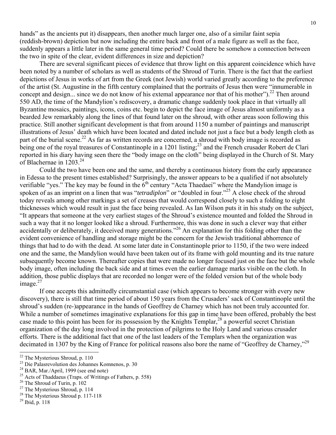hands" as the ancients put it) disappears, then another much larger one, also of a similar faint sepia (reddish-brown) depiction but now including the entire back and front of a male figure as well as the face, suddenly appears a little later in the same general time period? Could there be somehow a connection between the two in spite of the clear, evident differences in size and depiction?

There are several significant pieces of evidence that throw light on this apparent coincidence which have been noted by a number of scholars as well as students of the Shroud of Turin. There is the fact that the earliest depictions of Jesus in works of art from the Greek (not Jewish) world varied greatly according to the preference of the artist (St. Augustine in the fifth century complained that the portraits of Jesus then were "innumerable in concept and design... since we do not know of his extemal appearance nor that of his mother"). <sup>22</sup> Then around 550 AD, the time of the Mandylion's rediscovery, a dramatic change suddenly took place in that virtually all Byzantine mosaics, paintings, icons, coins etc. begin to depict the face image of Jesus almost uniformly as a bearded Jew remarkably along the lines of that found later on the shroud, with other areas soon following this practice. Still another significant development is that from around 1150 a number of paintings and manuscript illustrations of Jesus' death which have been located and dated include not just a face but a body length cloth as part of the burial scene.<sup>22</sup> As far as written records are concerned, a shroud with body image is recorded as being one of the royal treasures of Constantinople in a 1201 listing;<sup>23</sup> and the French crusader Robert de Clari reported in his diary having seen there the "body image on the cloth" being displayed in the Church of St. Mary of Blachernae in 1203.<sup>24</sup>

Could the two have been one and the same, and thereby a continuous history from the early appearance in Edessa to the present times established? Surprisingly, the answer appears to be a qualified if not absolutely verifiable "yes." The key may be found in the  $6<sup>th</sup>$  century "Acta Thaedaei" where the Mandylion image is spoken of as an imprint on a linen that was "*tetradiplon*" or "doubled in four."<sup>25</sup> A close check of the shroud today reveals among other markings a set of creases that would correspond closely to such a folding to eight thicknesses which would result in just the face being revealed. As Ian Wilson puts it in his study on the subject, "It appears that someone at the very earliest stages of the Shroud's existence mounted and folded the Shroud in such a way that it no longer looked like a shroud. Furthermore, this was done in such a clever way that either accidentally or deliberately, it deceived many generations."26 An explanation for this folding other than the evident convenience of handling and storage might be the concern for the Jewish traditional abhorrence of things that had to do with the dead. At some later date in Constantinople prior to 1150, if the two were indeed one and the same, the Mandylion would have been taken out of its frame with gold mounting and its true nature subsequently become known. Thereafter copies that were made no longer focused just on the face but the whole body image, often including the back side and at times even the earlier damage marks visible on the cloth. In addition, those public displays that are recorded no longer were of the folded version but of the whole body image. $27$ 

If one accepts this admittedly circumstantial case (which appears to become stronger with every new discovery), there is still that time period of about 150 years from the Crusaders' sack of Constantinople until the shroud's sudden (re-)appearance in the hands of Geoffrey de Charney which has not been truly accounted for. While a number of sometimes imaginative explanations for this gap in time have been offered, probably the best case made to this point has been for its possession by the Knights Templar,<sup>28</sup> a powerful secret Christian organization of the day long involved in the protection of pilgrims to the Holy Land and various crusader efforts. There is the additional fact that one of the last leaders of the Templars when the organization was decimated in 1307 by the King of France for political reasons also bore the name of "Geoffrey de Charney,"<sup>29</sup>

<sup>28</sup> The Mysterious Shroud p. 117-118

 $22$  The Mysterious Shroud, p. 110

<sup>23</sup> Die Palasrevolution des Johannes Komnenos, p. 30

 $24$  BAR, Mar./April, 1999 (see end note)

 $25$  Acts of Thaddaeus (Traps. of Writings of Fathers, p. 558)

<sup>26</sup> The Shroud of Turin, p. 102

<sup>&</sup>lt;sup>27</sup> The Mysterious Shroud, p. 114

<sup>29</sup> Ibid, p. 118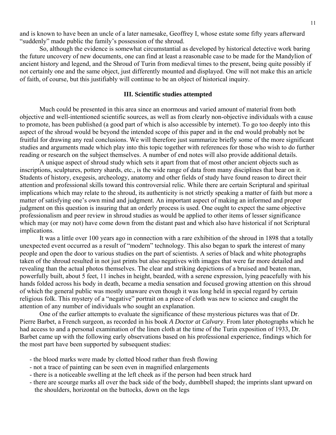and is known to have been an uncle of a later namesake, Geoffrey I, whose estate some fifty years afterward "suddenly" made public the family's possession of the shroud.

So, although the evidence is somewhat circumstantial as developed by historical detective work baring the future uncovery of new documents, one can find at least a reasonable case to be made for the Mandylion of ancient history and legend, and the Shroud of Turin from medieval times to the present, being quite possibly if not certainly one and the same object, just differently mounted and displayed. One will not make this an article of faith, of course, but this justifiably will continue to be an object of historical inquiry.

#### **III. Scientific studies attempted**

Much could be presented in this area since an enormous and varied amount of material from both objective and well-intentioned scientific sources, as well as from clearly non-objective individuals with a cause to promote, has been published (a good part of which is also accessible by internet). To go too deeply into this aspect of the shroud would be beyond the intended scope of this paper and in the end would probably not be fruitful for drawing any real conclusions. We will therefore just summarize briefly some of the more significant studies and arguments made which play into this topic together with references for those who wish to do further reading or research on the subject themselves. A number of end notes will also provide additional details.

A unique aspect of shroud study which sets it apart from that of most other ancient objects such as inscriptions, sculptures, pottery shards, etc., is the wide range of data from many disciplines that bear on it. Students of history, exegesis, archeology, anatomy and other fields of study have found reason to direct their attention and professional skills toward this controversial relic. While there are certain Scriptural and spiritual implications which may relate to the shroud, its authenticity is not strictly speaking a matter of faith but more a matter of satisfying one's own mind and judgment. An important aspect of making an informed and proper judgment on this question is insuring that an orderly process is used. One ought to expect the same objective professionalism and peer review in shroud studies as would be applied to other items of lesser significance which may (or may not) have come down from the distant past and which also have historical if not Scriptural implications.

It was a little over 100 years ago in connection with a rare exhibition of the shroud in 1898 that a totally unexpected event occurred as a result of "modern" technology. This also began to spark the interest of many people and open the door to various studies on the part of scientists. A series of black and white photographs taken of the shroud resulted in not just prints but also negatives with images that were far more detailed and revealing than the actual photos themselves. The clear and striking depictions of a bruised and beaten man, powerfully built, about 5 feet, 11 inches in height, bearded, with a serene expression, lying peacefully with his hands folded across his body in death, became a media sensation and focused growing attention on this shroud of which the general public was mostly unaware even though it was long held in special regard by certain religious folk. This mystery of a "negative" portrait on a piece of cloth was new to science and caught the attention of any number of individuals who sought an explanation.

One of the earlier attempts to evaluate the significance of these mysterious pictures was that of Dr. Pierre Barbet, a French surgeon, as recorded in his book *A Doctor at Calvary*. From later photographs which he had access to and a personal examination of the linen cloth at the time of the Turin exposition of 1933, Dr. Barbet came up with the following early observations based on his professional experience, findings which for the most part have been supported by subsequent studies:

- the blood marks were made by clotted blood rather than fresh flowing
- not a trace of painting can be seen even in magnified enlargements
- there is a noticeable swelling at the left cheek as if the person had been struck hard
- there are scourge marks all over the back side of the body, dumbbell shaped; the imprints slant upward on the shoulders, horizontal on the buttocks, down on the legs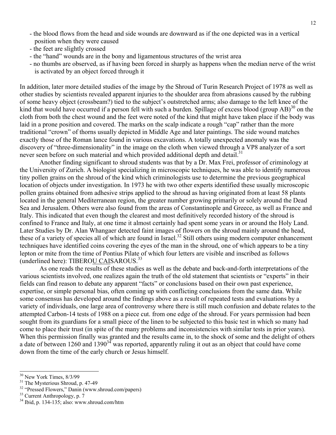- the blood flows from the head and side wounds are downward as if the one depicted was in a vertical position when they were caused
- the feet are slightly crossed
- the "hand" wounds are in the bony and ligamentous structures of the wrist area
- no thumbs are observed, as if having been forced in sharply as happens when the median nerve of the wrist is activated by an object forced through it

In addition, later more detailed studies of the image by the Shroud of Turin Research Project of 1978 as well as other studies by scientists revealed apparent injuries to the shoulder area from abrasions caused by the rubbing of some heavy object (crossbeam?) tied to the subject's outstretched arms; also damage to the left knee of the kind that would have occurred if a person fell with such a burden. Spillage of excess blood (group AB)<sup>30</sup> on the cloth from both the chest wound and the feet were noted of the kind that might have taken place if the body was laid in a prone position and covered. The marks on the scalp indicate a rough "cap" rather than the more traditional "crown" of thorns usually depicted in Middle Age and later paintings. The side wound matches exactly those of the Roman lance found in various excavations. A totally unexpected anomaly was the discovery of "three-dimensionality" in the image on the cloth when viewed through a VP8 analyzer of a sort never seen before on such material and which provided additional depth and detail.<sup>31</sup>

Another finding significant to shroud students was that by a Dr. Max Frei, professor of criminology at the University of Zurich. A biologist specializing in microscopic techniques, he was able to identify numerous tiny pollen grains on the shroud of the kind which criminologists use to determine the previous geographical location of objects under investigation. In 1973 he with two other experts identified these usually microscopic pollen grains obtained from adhesive strips applied to the shroud as having originated from at least 58 plants located in the general Mediterranean region, the greater number growing primarily or solely around the Dead Sea and Jerusalem. Others were also found from the areas of Constantinople and Greece, as well as France and Italy. This indicated that even though the clearest and most definitively recorded history of the shroud is confined to France and Italy, at one time it almost certainly had spent some years in or around the Holy Land. Later Studies by Dr. Alan Whangaer detected faint images of flowers on the shroud mainly around the head, these of a variety of species all of which are found in Israel.<sup>32</sup> Still others using modern computer enhancement techniques have identified coins covering the eyes of the man in the shroud, one of which appears to be a tiny lepton or mite from the time of Pontius Pilate of which four letters are visible and inscribed as follows (underlined here): TIBEROU CAISAROUS.<sup>33</sup>

As one reads the results of these studies as well as the debate and back-and-forth interpretations of the various scientists involved, one realizes again the truth of the old statement that scientists or "experts" in their fields can find reason to debate any apparent "facts" or conclusions based on their own past experience, expertise, or simple personal bias, often coming up with conflicting conclusions from the same data. While some consensus has developed around the findings above as a result of repeated tests and evaluations by a variety of individuals, one large area of controversy where there is still much confusion and debate relates to the attempted Carbon-14 tests of 1988 on a piece cut. from one edge of the shroud. For years permission had been sought from its guardians for a small piece of the linen to be subjected to this basic test in which so many had come to place their trust (in spite of the many problems and inconsistencies with similar tests in prior years). When this permission finally was granted and the results came in, to the shock of some and the delight of others a date of between  $1260$  and  $1390<sup>34</sup>$  was reported, apparently ruling it out as an object that could have come down from the time of the early church or Jesus himself.

<sup>&</sup>lt;sup>30</sup> New York Times, 8/3/99

<sup>&</sup>lt;sup>31</sup> The Mysterious Shroud, p. 47-49

<sup>32 &</sup>quot;Pressed Flowers," Danin (www.shroud.com/papers)

 $33$  Current Anthropology, p. 7

 $34$  Ibid, p. 134-135; also: www.shroud.com/htm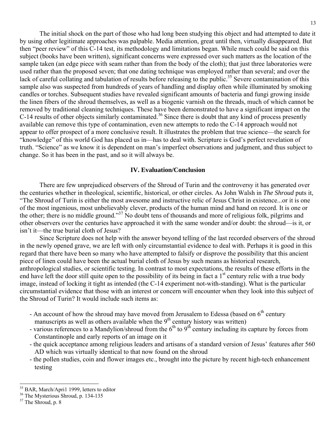The initial shock on the part of those who had long been studying this object and had attempted to date it by using other legitimate approaches was palpable. Media attention, great until then, virtually disappeared. But then "peer review" of this C-14 test, its methodology and limitations began. While much could be said on this subject (books have been written), significant concerns were expressed over such matters as the location of the sample taken (an edge piece with seam rather than from the body of the cloth); that just three laboratories were used rather than the proposed seven; that one dating technique was employed rather than several; and over the lack of careful collating and tabulation of results before releasing to the public.<sup>35</sup> Severe contamination of this sample also was suspected from hundreds of years of handling and display often while illuminated by smoking candles or torches. Subsequent studies have revealed significant amounts of bacteria and fungi growing inside the linen fibers of the shroud themselves, as well as a biogenic varnish on the threads, much of which cannot be removed by traditional cleaning techniques. These have been demonstrated to have a significant impact on the C-14 results of other objects similarly contaminated.<sup>36</sup> Since there is doubt that any kind of process presently available can remove this type of contamination, even new attempts to redo the C-14 approach would not appear to offer prospect of a more conclusive result. It illustrates the problem that true science—the search for "knowledge" of this world God has placed us in—has to deal with. Scripture is God's perfect revelation of truth. "Science" as we know it is dependent on man's imperfect observations and judgment, and thus subject to change. So it has been in the past, and so it will always be.

#### **IV. Evaluation/Conclusion**

There are few unprejudiced observers of the Shroud of Turin and the controversy it has generated over the centuries whether in theological, scientific, historical, or other circles. As John Walsh in *The Shroud* puts it, "The Shroud of Turin is either the most awesome and instructive relic of Jesus Christ in existence...or it is one of the most ingenious, most unbelievably clever, products of the human mind and hand on record. It is one or the other; there is no middle ground."37 No doubt tens of thousands and more of religious folk, pilgrims and other observers over the centuries have approached it with the same wonder and/or doubt: the shroud—is it, or isn't it—the true burial cloth of Jesus?

Since Scripture does not help with the answer beyond telling of the last recorded observers of the shroud in the newly opened grave, we are left with only circumstantial evidence to deal with. Perhaps it is good in this regard that there have been so many who have attempted to falsify or disprove the possibility that this ancient piece of linen could have been the actual burial cloth of Jesus by such means as historical research, anthropological studies, or scientific testing. In contrast to most expectations, the results of these efforts in the end have left the door still quite open to the possibility of its being in fact a  $1<sup>st</sup>$  century relic with a true body image, instead of locking it tight as intended (the C-14 experiment not-with-standing). What is the particular circumstantial evidence that those with an interest or concern will encounter when they look into this subject of the Shroud of Turin? It would include such items as:

- An account of how the shroud may have moved from Jerusalem to Edessa (based on  $6<sup>th</sup>$  century manuscripts as well as others available when the  $9<sup>th</sup>$  century history was written)
- various references to a Mandylion/shroud from the  $6<sup>th</sup>$  to  $9<sup>th</sup>$  century including its capture by forces from Constantinople and early reports of an image on it
- the quick acceptance among religious leaders and artisans of a standard version of Jesus' features after 560 AD which was virtually identical to that now found on the shroud
- the pollen studies, coin and flower images etc., brought into the picture by recent high-tech enhancement testing

l

<sup>&</sup>lt;sup>35</sup> BAR, March/Apri1 1999, letters to editor

<sup>&</sup>lt;sup>36</sup> The Mysterious Shroud, p. 134-135

 $37$  The Shroud, p. 8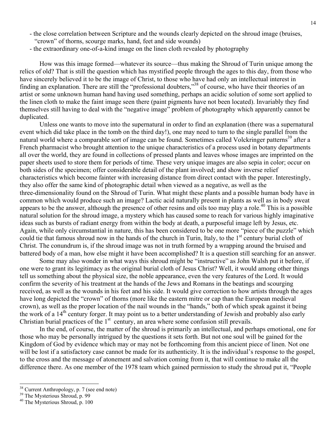- the close correlation between Scripture and the wounds clearly depicted on the shroud image (bruises, "crown" of thorns, scourge marks, hand, feet and side wounds)
- the extraordinary one-of-a-kind image on the linen cloth revealed by photography

How was this image formed—whatever its source—thus making the Shroud of Turin unique among the relics of old? That is still the question which has mystified people through the ages to this day, from those who have sincerely believed it to be the image of Christ, to those who have had only an intellectual interest in finding an explanation. There are still the "professional doubters,"38 of course, who have their theories of an artist or some unknown human hand having used something, perhaps an acidic solution of some sort applied to the linen cloth to make the faint image seen there (paint pigments have not been located). Invariably they find themselves still having to deal with the "negative image" problem of photography which apparently cannot be duplicated.

Unless one wants to move into the supernatural in order to find an explanation (there was a supernatural event which did take place in the tomb on the third day!), one may need to turn to the single parallel from the natural world where a comparable sort of image can be found. Sometimes called Volckringer patterns<sup>39</sup> after a French pharmacist who brought attention to the unique characteristics of a process used in botany departments all over the world, they are found in collections of pressed plants and leaves whose images are imprinted on the paper sheets used to store them for periods of time. These very unique images are also sepia in color; occur on both sides of the specimen; offer considerable detail of the plant involved; and show inverse relief characteristics which become fainter with increasing distance from direct contact with the paper. Interestingly, they also offer the same kind of photographic detail when viewed as a negative, as well as the three-dimensionality found on the Shroud of Turin. What might these plants and a possible human body have in common which would produce such an image? Lactic acid naturally present in plants as well as in body sweat appears to be the answer, although the presence of other resins and oils too may play a role.<sup>40</sup> This is a possible natural solution for the shroud image, a mystery which has caused some to reach for various highly imaginative ideas such as bursts of radiant energy from within the body at death, a purposeful image left by Jesus, etc. Again, while only circumstantial in nature, this has been considered to be one more "piece of the puzzle" which could tie that famous shroud now in the hands of the church in Turin, Italy, to the 1<sup>st</sup> century burial cloth of Christ. The conundrum is, if the shroud image was not in truth formed by a wrapping around the bruised and battered body of a man, how else might it have been accomplished? It is a question still searching for an answer.

Some may also wonder in what ways this shroud might be "instructive" as John Walsh put it before, if one were to grant its legitimacy as the original burial cloth of Jesus Christ? Well, it would among other things tell us something about the physical size, the noble appearance, even the very features of the Lord. It would confirm the severity of his treatment at the hands of the Jews and Romans in the beatings and scourging received, as well as the wounds in his feet and his side. It would give correction to how artists through the ages have long depicted the "crown" of thorns (more like the eastern mitre or cap than the European medieval crown), as well as the proper location of the nail wounds in the "hands," both of which speak against it being the work of a  $14<sup>th</sup>$  century forger. It may point us to a better understanding of Jewish and probably also early Christian burial practices of the  $1<sup>st</sup>$  century, an area where some confusion still prevails.

In the end, of course, the matter of the shroud is primarily an intellectual, and perhaps emotional, one for those who may be personally intrigued by the questions it sets forth. But not one soul will be gained for the Kingdom of God by evidence which may or may not be forthcoming from this ancient piece of linen. Not one will be lost if a satisfactory case cannot be made for its authenticity. It is the individual's response to the gospel, to the cross and the message of atonement and salvation coming from it, that will continue to make all the difference there. As one member of the 1978 team which gained permission to study the shroud put it, "People

l

<sup>&</sup>lt;sup>38</sup> Current Anthropology, p. 7 (see end note)

<sup>&</sup>lt;sup>39</sup> The Mysterious Shroud, p. 99

<sup>40</sup> The Mysterious Shroud, p. 100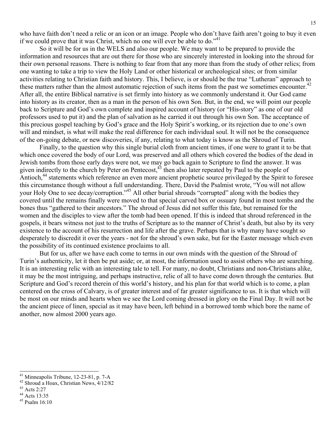who have faith don't need a relic or an icon or an image. People who don't have faith aren't going to buy it even if we could prove that it was Christ, which no one will ever be able to do." $41$ 

So it will be for us in the WELS and also our people. We may want to be prepared to provide the information and resources that are out there for those who are sincerely interested in looking into the shroud for their own personal reasons. There is nothing to fear from that any more than from the study of other relics; from one wanting to take a trip to view the Holy Land or other historical or archeological sites; or from similar activities relating to Christian faith and history. This, I believe, is or should be the true "Lutheran" approach to these matters rather than the almost automatic rejection of such items from the past we sometimes encounter.<sup>42</sup> After all, the entire Biblical narrative is set firmly into history as we commonly understand it. Our God came into history as its creator, then as a man in the person of his own Son. But, in the end, we will point our people back to Scripture and God's own complete and inspired account of history (or "His-story" as one of our old professors used to put it) and the plan of salvation as he carried it out through his own Son. The acceptance of this precious gospel teaching by God's grace and the Holy Spirit's working, or its rejection due to one's own will and mindset, is what will make the real difference for each individual soul. It will not be the consequence of the on-going debate, or new discoveries, if any, relating to what today is know as the Shroud of Turin.

Finally, to the question why this single burial cloth from ancient times, if one were to grant it to be that which once covered the body of our Lord, was preserved and all others which covered the bodies of the dead in Jewish tombs from those early days were not, we may go back again to Scripture to find the answer. It was given indirectly to the church by Peter on Pentecost,<sup>43</sup> then also later repeated by Paul to the people of Antioch,<sup>44</sup> statements which reference an even more ancient prophetic source privileged by the Spirit to foresee this circumstance though without a full understanding. There, David the Psalmist wrote, "You will not allow your Holy One to see decay/corruption."<sup>45</sup> All other burial shrouds "corrupted" along with the bodies they covered until the remains finally were moved to that special carved box or ossuary found in most tombs and the bones thus "gathered to their ancestors." The shroud of Jesus did not suffer this fate, but remained for the women and the disciples to view after the tomb had been opened. If this is indeed that shroud referenced in the gospels, it bears witness not just to the truths of Scripture as to the manner of Christ's death, but also by its very existence to the account of his resurrection and life after the grave. Perhaps that is why many have sought so desperately to discredit it over the years - not for the shroud's own sake, but for the Easter message which even the possibility of its continued existence proclaims to all.

But for us, after we have each come to terms in our own minds with the question of the Shroud of Turin's authenticity, let it then be put aside; or, at most, the information used to assist others who are searching. It is an interesting relic with an interesting tale to tell. For many, no doubt, Christians and non-Christians alike, it may be the most intriguing, and perhaps instructive, relic of all to have come down through the centuries. But Scripture and God's record therein of this world's history, and his plan for that world which is to come, a plan centered on the cross of Calvary, is of greater interest and of far greater significance to us. It is that which will be most on our minds and hearts when we see the Lord coming dressed in glory on the Final Day. It will not be the ancient piece of linen, special as it may have been, left behind in a borrowed tomb which bore the name of another, now almost 2000 years ago.

Minneapolis Tribune, 12-23-81, p. 7-A

<sup>42</sup> Shroud a Hoax, Christian News, 4/12/82

<sup>43</sup> Acts 2:27

<sup>44</sup> Acts 13:35

<sup>45</sup> Psalm 16:10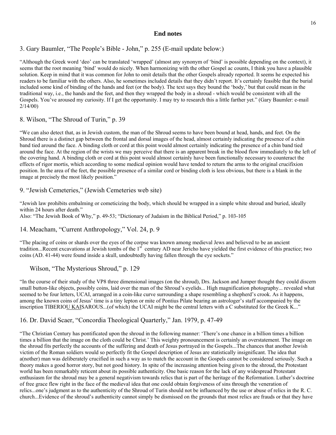## **End notes**

# 3. Gary Baumler, "The People's Bible - John," p. 255 (E-mail update below:)

"Although the Greek word 'deo' can be translated 'wrapped' (almost any synonym of 'bind' is possible depending on the context), it seems that the root meaning 'bind' would do nicely. When harmonizing with the other Gospel ac counts, I think you have a plausible solution. Keep in mind that it was common for John to omit details that the other Gospels already reported. It seems he expected his readers to be familiar with the others. Also, he sometimes included details that they didn't report. It's certainly feasible that the burial included some kind of binding of the hands and feet (or the body). The text says they bound the 'body,' but that could mean in the traditional way, i.e., the hands and the feet, and then they wrapped the body in a shroud - which would be consistent with all the Gospels. You've aroused my curiosity. If I get the opportunity. I may try to research this a little farther yet." (Gary Baumler: e-mail 2/14/00)

# 8. Wilson, "The Shroud of Turin," p. 39

"We can also detect that, as in Jewish custom, the man of the Shroud seems to have been bound at head, hands, and feet. On the Shroud there is a distinct gap between the frontal and dorsal images of the head, almost certainly indicating the presence of a chin band tied around the face. A binding cloth or cord at this point would almost certainly indicating the presence of a chin band tied around the face. At the region of the wrists we may perceive that there is an apparent break in the blood flow immediately to the left of the covering hand. A binding cloth or cord at this point would almost certainly have been functionally necessary to counteract the effects of rigor mortis, which according to some medical opinion would have tended to return the arms to the original crucifixion position. In the area of the feet, the possible presence of a similar cord or binding cloth is less obvious, but there is a blank in the image at precisely the most likely position."

# 9. "Jewish Cemeteries," (Jewish Cemeteries web site)

"Jewish law prohibits embalming or cometicizing the body, which should be wrapped in a simple white shroud and buried, ideally within 24 hours after death."

Also: "The Jewish Book of Why," p. 49-53; "Dictionary of Judaism in the Biblical Period," p. 103-105

# 14. Meacham, "Current Anthropology," Vol. 24, p. 9

"The placing of coins or shards over the eyes of the corpse was known among medieval Jews and believed to be an ancient tradition...Recent excavations at Jewish tombs of the 1<sup>st</sup> century AD near Jericho have yielded the first evidence of this practice; two coins (AD. 41-44) were found inside a skull, undoubtedly having fallen through the eye sockets."

## Wilson, "The Mysterious Shroud," p. 129

"In the course of their study of the VP8 three dimensional images (on the shroud), Drs. Jackson and Jumper thought they could discern small button-like objects, possibly coins, laid over the man of the Shroud's eyelids... High magnification photography... revealed what seemed to be four letters, UCAI, arranged in a coin-like curve surrounding a shape resembling a shepherd's crook. As it happens, among the known coins of Jesus' time is a tiny lepton or mite of Pontius Pilate bearing an astrologer's staff accompanied by the inscription TIBERIOU KAISAROUS...(of which) the UCAI might be the central letters with a C substituted for the Greek K..."

## 16. Dr. David Scaer, "Concordia Theological Quarterly," Jan. 1979, p. 47-49

"The Christian Century has pontificated upon the shroud in the following manner: 'There's one chance in a billion times a billion times a billion that the image on the cloth could be Christ.' This weighty pronouncement is certainly an overstatement. The image on the shroud fits perfectly the accounts of the suffering and death of Jesus portrayed in the Gospels...The chances that another Jewish victim of the Roman soldiers would so perfectly fit the Gospel description of Jesus are statistically insignificant. The idea that a(nother) man was deliberately crucified in such a way as to match the account in the Gospels cannot be considered seriously. Such a theory makes a good horror story, but not good history. In spite of the increasing attention being given to the shroud, the Protestant world has been remarkably reticent about its possible authenticity. One basic reason for the lack of any widespread Protestant enthusiasm for the shroud may be a general negativism towards relics that is part of the heritage of the Reformation. Luther's doctrine of free grace flew right in the face of the medieval idea that one could obtain forgiveness of sins through the veneration of relics...one's judgment as to the authenticity of the Shroud of Turin should not be influenced by the use or abuse of relics in the R. C. church...Evidence of the shroud's authenticity cannot simply be dismissed on the grounds that most relics are frauds or that they have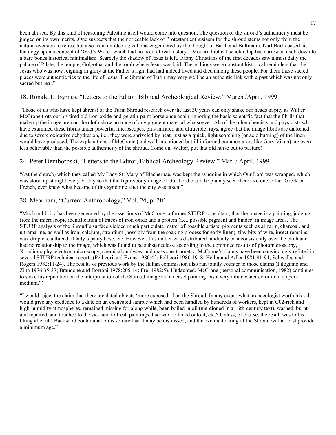been abused. By this kind of reasoning Palestine itself would come into question. The question of the shroud's authenticity must be judged on its own merits...One suspects that the noticeable lack of Protestant enthusiasm for the shroud stems not only from the natural aversion to relics, but also from an ideological bias engendered by the thought of Barth and Bultmann. Karl Barth based his theology upon a concept of 'God's Word' which had no need of real history... Modern biblical scholarship has narrowed itself down to a bare bones historical minimalism. Scarcely the shadow of Jesus is left...Many Christians of the first decades saw almost daily the palace of Pilate, the temple, Golgotha, and the tomb where Jesus was laid. These things were constant historical reminders that the Jesus who was now reigning in glory at the Father's right had had indeed lived and died among these people. For them these sacred places were authentic ties to the life of Jesus. The Shroud of Turin may very well be an authentic link with a past which was not only sacred but real."

# 18. Ronald L. Byrnes, "Letters to the Editor, Biblical Archeological Review," March /April, 1999

"Those of us who have kept abreast of the Turin Shroud research over the last 30 years can only shake our heads in pity as Walter McCrone trots out his tired old iron-oxide-and-gelatin-paint horse once again, ignoring the basic scientific fact that the fibrils that make up the image area on the cloth show no trace of any pigment material whatsoever. All of the other chemists and physicists who have examined these fibrils under powerful microscopes, plus infrared and ultraviolet rays, agree that the image fibrils are darkened due to severe oxidative dehydration, i.e., they were shriveled by heat, just as a quick, light scorching (or acid burning) of the linen would have produced. The explanations of McCrone (and well-intentioned but ill-informed commentators like Gary Vikan) are even less believable than the possible authenticity of the shroud. Come on, Walter, put that old horse out to pasture!"

### 24. Peter Demboroski, "Letters to the Editor, Biblical Archeology Review," Mar. / April, 1999

"(At the church) which they called My Lady St. Mary of Blachernae, was kept the syndoine in which Our Lord was wrapped, which was stood up straight every Friday so that the figure/body image of Our Lord could be plainly seen there. No one, either Greek or French, ever knew what became of this syndoine after the city was taken."

### 38. Meacham, "Current Anthropology," Vol. 24, p. 7ff.

"Much publicity has been generated by the assertions of McCrone, a former STURP consultant, that the image is a painting, judging from the microscopic identification of traces of iron oxide and a protein (i.e., possible pigment and binder) in image areas. The STURP analysis of the Shroud's surface yielded much particulate matter of possible artists' pigments such as alizarin, charcoal, and ultramarine, as well as iron, calcium, strontium (possibly from the soaking process for early linen), tiny bits of wire, insect remains, wax droplets, a thread of lady's panty hose, etc. However, this matter was distributed randomly or inconsistently over the cloth and had no relationship to the image, which was found to be substanceless, according to the combined results of photomicroscopy, X-radiography, electron microscopy, chemical analyses, and mass spectrometry. McCrone's claims have been convincingly refuted in several STURP technical reports (Pellicori and Evans 1980:42; Pellicori 1980:1918; Heller and Adler 1981:91-94; Schwalbe and Rogers 1982:11-24). The results of previous work by the Italian commission also run totally counter to those claims (Filogamo and Zina 1976:35-37; Brandone and Borroni 1978:205-14; Frei 1982:5). Undaunted, McCrone (personal communication, 1982) continues to stake his reputation on the interpretation of the Shroud image as 'an easel painting...as a very dilute water color in a tempera medium."'

"I would reject the claim that there are dated objects 'more exposed' than the Shroud. In any event, what archaeologist worth his salt would give any credence to a date on an excavated sample which had been handled by hundreds of workers, kept in C02-rich and high-humidity atmospheres, remained missing for along while, been boiled in oil (mentioned in a 16th-century text), washed, burnt and repaired, and touched to the sick and to fresh paintings, had wax dribbled onto it, etc.? Unless, of course, the result was to his liking after all! Backward contamination is so rare that it may be dismissed, and the eventual dating of the Shroud will at least provide a minimum age."